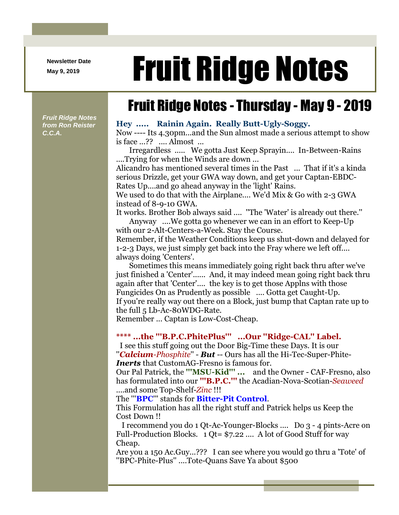**Newsletter Date**

# Newsletter Date **Fruit Ridge Notes**

## Fruit Ridge Notes - Thursday - May 9 - 2019

*Fruit Ridge Notes from Ron Reister C.C.A.*

#### **Hey ..... Rainin Again. Really Butt-Ugly-Soggy.**

Now ---- Its 4.30pm...and the Sun almost made a serious attempt to show is face ...?? .... Almost ...

Irregardless ..... We gotta Just Keep Sprayin.... In-Between-Rains ....Trying for when the Winds are down ...

Alicandro has mentioned several times in the Past ... That if it's a kinda serious Drizzle, get your GWA way down, and get your Captan-EBDC-Rates Up....and go ahead anyway in the 'light' Rains.

We used to do that with the Airplane.... We'd Mix & Go with 2-3 GWA instead of 8-9-10 GWA.

It works. Brother Bob always said .... ''The 'Water' is already out there.'' Anyway ....We gotta go whenever we can in an effort to Keep-Up

with our 2-Alt-Centers-a-Week. Stay the Course.

Remember, if the Weather Conditions keep us shut-down and delayed for 1-2-3 Days, we just simply get back into the Fray where we left off.... always doing 'Centers'.

Sometimes this means immediately going right back thru after we've just finished a 'Center'...... And, it may indeed mean going right back thru again after that 'Center'.... the key is to get those Applns with those Fungicides On as Prudently as possible .... Gotta get Caught-Up. If you're really way out there on a Block, just bump that Captan rate up to the full 5 Lb-Ac-80WDG-Rate.

Remember ... Captan is Low-Cost-Cheap.

### **\*\*\*\* ...the '''B.P.C.PhitePlus''' ...Our ''Ridge-CAL'' Label.**

I see this stuff going out the Door Big-Time these Days. It is our ''*Calcium-Phosphite*'' - *But* -- Ours has all the Hi-Tec-Super-Phite-*Inerts* that CustomAG-Fresno is famous for.

Our Pal Patrick, the **'''MSU-Kid''' ...** and the Owner - CAF-Fresno, also has formulated into our **'''B.P.C.'''** the Acadian-Nova-Scotian-*Seaweed* ....and some Top-Shelf-*Zinc* !!!

The '''**BPC**''' stands for **Bitter-Pit Control**.

This Formulation has all the right stuff and Patrick helps us Keep the Cost Down !!

I recommend you do 1 Qt-Ac-Younger-Blocks .... Do 3 - 4 pints-Acre on Full-Production Blocks. 1 Qt= \$7.22 .... A lot of Good Stuff for way Cheap.

Are you a 150 Ac.Guy...??? I can see where you would go thru a 'Tote' of ''BPC-Phite-Plus'' ....Tote-Quans Save Ya about \$500